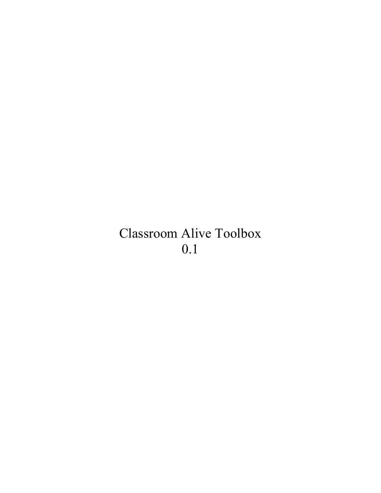# Classroom Alive Toolbox 0.1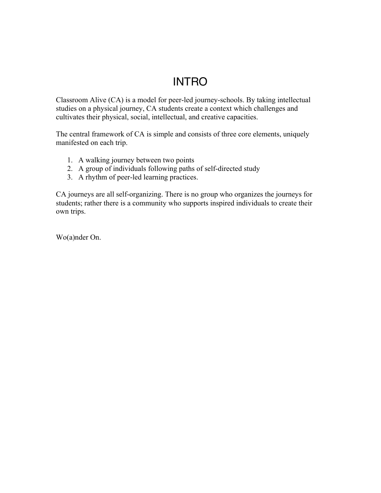## INTRO

Classroom Alive (CA) is a model for peer-led journey-schools. By taking intellectual studies on a physical journey, CA students create a context which challenges and cultivates their physical, social, intellectual, and creative capacities.

The central framework of CA is simple and consists of three core elements, uniquely manifested on each trip.

- 1. A walking journey between two points
- 2. A group of individuals following paths of self-directed study
- 3. A rhythm of peer-led learning practices.

CA journeys are all self-organizing. There is no group who organizes the journeys for students; rather there is a community who supports inspired individuals to create their own trips.

Wo(a)nder On.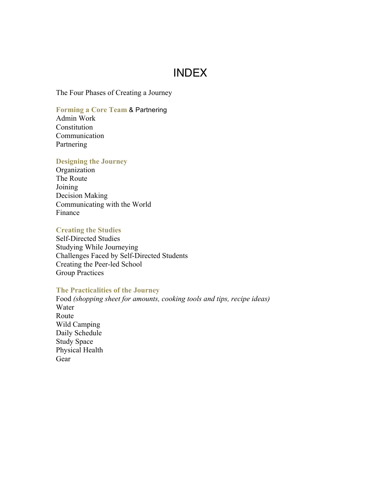## INDEX

The Four Phases of Creating a Journey

#### **Forming a Core Team** & Partnering

Admin Work **Constitution** Communication **Partnering** 

#### **Designing the Journey**

Organization The Route Joining Decision Making Communicating with the World Finance

#### **Creating the Studies**

Self-Directed Studies Studying While Journeying Challenges Faced by Self-Directed Students Creating the Peer-led School Group Practices

#### **The Practicalities of the Journey**

Food *(shopping sheet for amounts, cooking tools and tips, recipe ideas)* Water Route Wild Camping Daily Schedule Study Space Physical Health Gear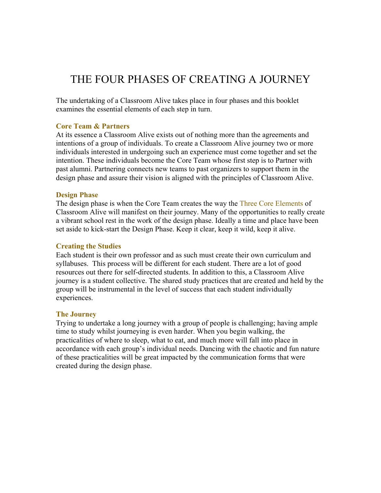## THE FOUR PHASES OF CREATING A JOURNEY

The undertaking of a Classroom Alive takes place in four phases and this booklet examines the essential elements of each step in turn.

#### **Core Team & Partners**

At its essence a Classroom Alive exists out of nothing more than the agreements and intentions of a group of individuals. To create a Classroom Alive journey two or more individuals interested in undergoing such an experience must come together and set the intention. These individuals become the Core Team whose first step is to Partner with past alumni. Partnering connects new teams to past organizers to support them in the design phase and assure their vision is aligned with the principles of Classroom Alive.

#### **Design Phase**

The design phase is when the Core Team creates the way the Three Core Elements of Classroom Alive will manifest on their journey. Many of the opportunities to really create a vibrant school rest in the work of the design phase. Ideally a time and place have been set aside to kick-start the Design Phase. Keep it clear, keep it wild, keep it alive.

#### **Creating the Studies**

Each student is their own professor and as such must create their own curriculum and syllabuses. This process will be different for each student. There are a lot of good resources out there for self-directed students. In addition to this, a Classroom Alive journey is a student collective. The shared study practices that are created and held by the group will be instrumental in the level of success that each student individually experiences.

#### **The Journey**

Trying to undertake a long journey with a group of people is challenging; having ample time to study whilst journeying is even harder. When you begin walking, the practicalities of where to sleep, what to eat, and much more will fall into place in accordance with each group's individual needs. Dancing with the chaotic and fun nature of these practicalities will be great impacted by the communication forms that were created during the design phase.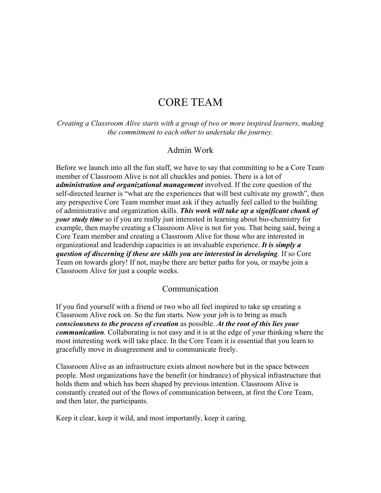## CORE TEAM

*Creating a Classroom Alive starts with a group of two or more inspired learners, making the commitment to each other to undertake the journey.*

#### Admin Work

Before we launch into all the fun stuff, we have to say that committing to be a Core Team member of Classroom Alive is not all chuckles and ponies. There is a lot of *administration and organizational management* involved. If the core question of the self-directed learner is "what are the experiences that will best cultivate my growth", then any perspective Core Team member must ask if they actually feel called to the building of administrative and organization skills. *This work will take up a significant chunk of your study time* so if you are really just interested in learning about bio-chemistry for example, then maybe creating a Classroom Alive is not for you. That being said, being a Core Team member and creating a Classroom Alive for those who are interested in organizational and leadership capacities is an invaluable experience. *It is simply a question of discerning if these are skills you are interested in developing.* If so Core Team on towards glory! If not, maybe there are better paths for you, or maybe join a Classroom Alive for just a couple weeks.

#### Communication

If you find yourself with a friend or two who all feel inspired to take up creating a Classroom Alive rock on. So the fun starts*.* Now your job is to bring as much *consciousness to the process of creation* as possible. *At the root of this lies your communication.* Collaborating is not easy and it is at the edge of your thinking where the most interesting work will take place. In the Core Team it is essential that you learn to gracefully move in disagreement and to communicate freely.

Classroom Alive as an infrastructure exists almost nowhere but in the space between people. Most organizations have the benefit (or hindrance) of physical infrastructure that holds them and which has been shaped by previous intention. Classroom Alive is constantly created out of the flows of communication between, at first the Core Team, and then later, the participants.

Keep it clear, keep it wild, and most importantly, keep it caring.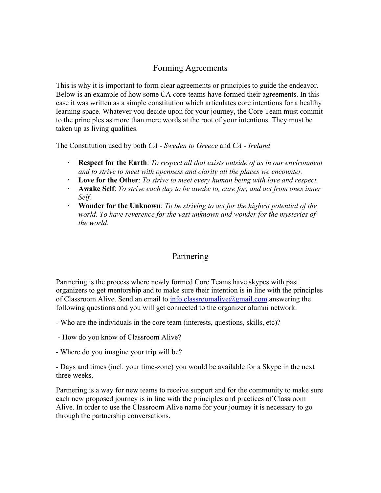## Forming Agreements

This is why it is important to form clear agreements or principles to guide the endeavor. Below is an example of how some CA core-teams have formed their agreements. In this case it was written as a simple constitution which articulates core intentions for a healthy learning space. Whatever you decide upon for your journey, the Core Team must commit to the principles as more than mere words at the root of your intentions. They must be taken up as living qualities.

The Constitution used by both *CA - Sweden to Greece* and *CA - Ireland*

- **Respect for the Earth**: *To respect all that exists outside of us in our environment and to strive to meet with openness and clarity all the places we encounter.*
- **Love for the Other**: *To strive to meet every human being with love and respect.*
- **Awake Self**: *To strive each day to be awake to, care for, and act from ones inner Self.*
- **Wonder for the Unknown**: *To be striving to act for the highest potential of the world. To have reverence for the vast unknown and wonder for the mysteries of the world.*

## Partnering

Partnering is the process where newly formed Core Teams have skypes with past organizers to get mentorship and to make sure their intention is in line with the principles of Classroom Alive. Send an email to  $info.classroomalive(ægmail.com)$  answering the following questions and you will get connected to the organizer alumni network.

- Who are the individuals in the core team (interests, questions, skills, etc)?

- How do you know of Classroom Alive?
- Where do you imagine your trip will be?

- Days and times (incl. your time-zone) you would be available for a Skype in the next three weeks.

Partnering is a way for new teams to receive support and for the community to make sure each new proposed journey is in line with the principles and practices of Classroom Alive. In order to use the Classroom Alive name for your journey it is necessary to go through the partnership conversations.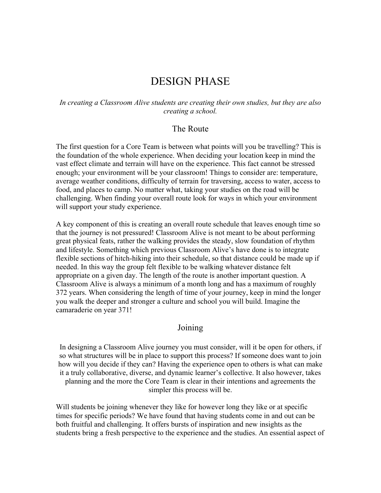## DESIGN PHASE

#### *In creating a Classroom Alive students are creating their own studies, but they are also creating a school.*

#### The Route

The first question for a Core Team is between what points will you be travelling? This is the foundation of the whole experience. When deciding your location keep in mind the vast effect climate and terrain will have on the experience. This fact cannot be stressed enough; your environment will be your classroom! Things to consider are: temperature, average weather conditions, difficulty of terrain for traversing, access to water, access to food, and places to camp. No matter what, taking your studies on the road will be challenging. When finding your overall route look for ways in which your environment will support your study experience.

A key component of this is creating an overall route schedule that leaves enough time so that the journey is not pressured! Classroom Alive is not meant to be about performing great physical feats, rather the walking provides the steady, slow foundation of rhythm and lifestyle. Something which previous Classroom Alive's have done is to integrate flexible sections of hitch-hiking into their schedule, so that distance could be made up if needed. In this way the group felt flexible to be walking whatever distance felt appropriate on a given day. The length of the route is another important question. A Classroom Alive is always a minimum of a month long and has a maximum of roughly 372 years. When considering the length of time of your journey, keep in mind the longer you walk the deeper and stronger a culture and school you will build. Imagine the camaraderie on year 371!

#### Joining

In designing a Classroom Alive journey you must consider, will it be open for others, if so what structures will be in place to support this process? If someone does want to join how will you decide if they can? Having the experience open to others is what can make it a truly collaborative, diverse, and dynamic learner's collective. It also however, takes planning and the more the Core Team is clear in their intentions and agreements the simpler this process will be.

Will students be joining whenever they like for however long they like or at specific times for specific periods? We have found that having students come in and out can be both fruitful and challenging. It offers bursts of inspiration and new insights as the students bring a fresh perspective to the experience and the studies. An essential aspect of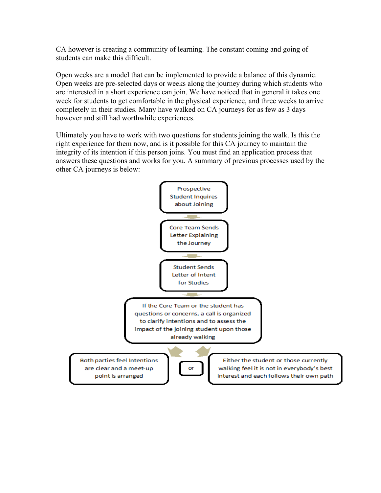CA however is creating a community of learning. The constant coming and going of students can make this difficult.

Open weeks are a model that can be implemented to provide a balance of this dynamic. Open weeks are pre-selected days or weeks along the journey during which students who are interested in a short experience can join. We have noticed that in general it takes one week for students to get comfortable in the physical experience, and three weeks to arrive completely in their studies. Many have walked on CA journeys for as few as 3 days however and still had worthwhile experiences.

Ultimately you have to work with two questions for students joining the walk. Is this the right experience for them now, and is it possible for this CA journey to maintain the integrity of its intention if this person joins. You must find an application process that answers these questions and works for you. A summary of previous processes used by the other CA journeys is below:

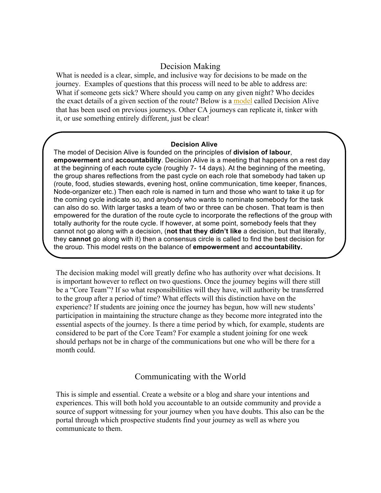### Decision Making

What is needed is a clear, simple, and inclusive way for decisions to be made on the journey. Examples of questions that this process will need to be able to address are: What if someone gets sick? Where should you camp on any given night? Who decides the exact details of a given section of the route? Below is a model called Decision Alive that has been used on previous journeys. Other CA journeys can replicate it, tinker with it, or use something entirely different, just be clear!

#### **Decision Alive**

The model of Decision Alive is founded on the principles of **division of labour**, **empowerment** and **accountability**. Decision Alive is a meeting that happens on a rest day at the beginning of each route cycle (roughly 7- 14 days). At the beginning of the meeting, the group shares reflections from the past cycle on each role that somebody had taken up (route, food, studies stewards, evening host, online communication, time keeper, finances, Node-organizer etc.) Then each role is named in turn and those who want to take it up for the coming cycle indicate so, and anybody who wants to nominate somebody for the task can also do so. With larger tasks a team of two or three can be chosen. That team is then empowered for the duration of the route cycle to incorporate the reflections of the group with totally authority for the route cycle. If however, at some point, somebody feels that they cannot not go along with a decision, (**not that they didn't like** a decision, but that literally, they **cannot** go along with it) then a consensus circle is called to find the best decision for the group. This model rests on the balance of **empowerment** and **accountability.**

The decision making model will greatly define who has authority over what decisions. It is important however to reflect on two questions. Once the journey begins will there still be a "Core Team"? If so what responsibilities will they have, will authority be transferred to the group after a period of time? What effects will this distinction have on the experience? If students are joining once the journey has begun, how will new students' participation in maintaining the structure change as they become more integrated into the essential aspects of the journey. Is there a time period by which, for example, students are considered to be part of the Core Team? For example a student joining for one week should perhaps not be in charge of the communications but one who will be there for a month could.

#### Communicating with the World

This is simple and essential. Create a website or a blog and share your intentions and experiences. This will both hold you accountable to an outside community and provide a source of support witnessing for your journey when you have doubts. This also can be the portal through which prospective students find your journey as well as where you communicate to them.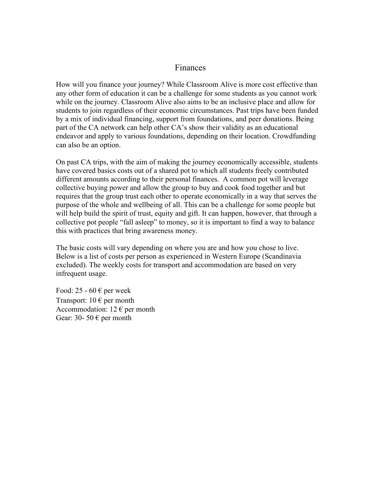### Finances

How will you finance your journey? While Classroom Alive is more cost effective than any other form of education it can be a challenge for some students as you cannot work while on the journey. Classroom Alive also aims to be an inclusive place and allow for students to join regardless of their economic circumstances. Past trips have been funded by a mix of individual financing, support from foundations, and peer donations. Being part of the CA network can help other CA's show their validity as an educational endeavor and apply to various foundations, depending on their location. Crowdfunding can also be an option.

On past CA trips, with the aim of making the journey economically accessible, students have covered basics costs out of a shared pot to which all students freely contributed different amounts according to their personal finances. A common pot will leverage collective buying power and allow the group to buy and cook food together and but requires that the group trust each other to operate economically in a way that serves the purpose of the whole and wellbeing of all. This can be a challenge for some people but will help build the spirit of trust, equity and gift. It can happen, however, that through a collective pot people "fall asleep" to money, so it is important to find a way to balance this with practices that bring awareness money.

The basic costs will vary depending on where you are and how you chose to live. Below is a list of costs per person as experienced in Western Europe (Scandinavia excluded). The weekly costs for transport and accommodation are based on very infrequent usage.

Food: 25 - 60  $\epsilon$  per week Transport:  $10 \in \text{per month}$ Accommodation:  $12 \in \text{per month}$ Gear: 30- 50  $\epsilon$  per month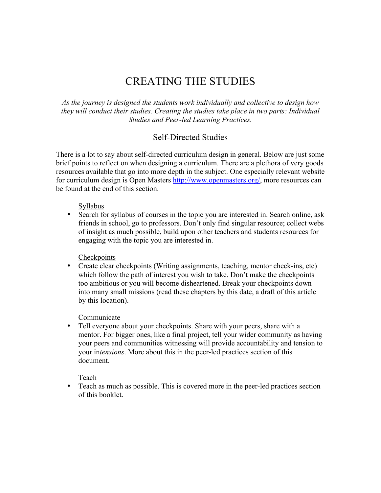## CREATING THE STUDIES

*As the journey is designed the students work individually and collective to design how they will conduct their studies. Creating the studies take place in two parts: Individual Studies and Peer-led Learning Practices.*

#### Self-Directed Studies

There is a lot to say about self-directed curriculum design in general. Below are just some brief points to reflect on when designing a curriculum. There are a plethora of very goods resources available that go into more depth in the subject. One especially relevant website for curriculum design is Open Masters http://www.openmasters.org/, more resources can be found at the end of this section.

#### Syllabus

• Search for syllabus of courses in the topic you are interested in. Search online, ask friends in school, go to professors. Don't only find singular resource; collect webs of insight as much possible, build upon other teachers and students resources for engaging with the topic you are interested in.

#### **Checkpoints**

• Create clear checkpoints (Writing assignments, teaching, mentor check-ins, etc) which follow the path of interest you wish to take. Don't make the checkpoints too ambitious or you will become disheartened. Break your checkpoints down into many small missions (read these chapters by this date, a draft of this article by this location).

#### Communicate

• Tell everyone about your checkpoints. Share with your peers, share with a mentor. For bigger ones, like a final project, tell your wider community as having your peers and communities witnessing will provide accountability and tension to your in*tensions*. More about this in the peer-led practices section of this document.

#### Teach

• Teach as much as possible. This is covered more in the peer-led practices section of this booklet.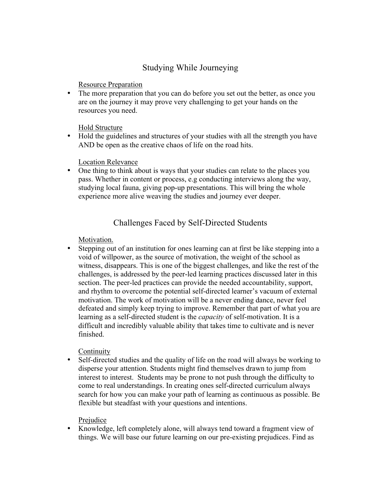## Studying While Journeying

Resource Preparation

• The more preparation that you can do before you set out the better, as once you are on the journey it may prove very challenging to get your hands on the resources you need.

Hold Structure

• Hold the guidelines and structures of your studies with all the strength you have AND be open as the creative chaos of life on the road hits.

Location Relevance

• One thing to think about is ways that your studies can relate to the places you pass. Whether in content or process, e.g conducting interviews along the way, studying local fauna, giving pop-up presentations. This will bring the whole experience more alive weaving the studies and journey ever deeper.

## Challenges Faced by Self-Directed Students

Motivation.

• Stepping out of an institution for ones learning can at first be like stepping into a void of willpower, as the source of motivation, the weight of the school as witness, disappears. This is one of the biggest challenges, and like the rest of the challenges, is addressed by the peer-led learning practices discussed later in this section. The peer-led practices can provide the needed accountability, support, and rhythm to overcome the potential self-directed learner's vacuum of external motivation. The work of motivation will be a never ending dance, never feel defeated and simply keep trying to improve. Remember that part of what you are learning as a self-directed student is the *capacity* of self-motivation. It is a difficult and incredibly valuable ability that takes time to cultivate and is never finished.

**Continuity** 

• Self-directed studies and the quality of life on the road will always be working to disperse your attention. Students might find themselves drawn to jump from interest to interest. Students may be prone to not push through the difficulty to come to real understandings. In creating ones self-directed curriculum always search for how you can make your path of learning as continuous as possible. Be flexible but steadfast with your questions and intentions.

### Prejudice

• Knowledge, left completely alone, will always tend toward a fragment view of things. We will base our future learning on our pre-existing prejudices. Find as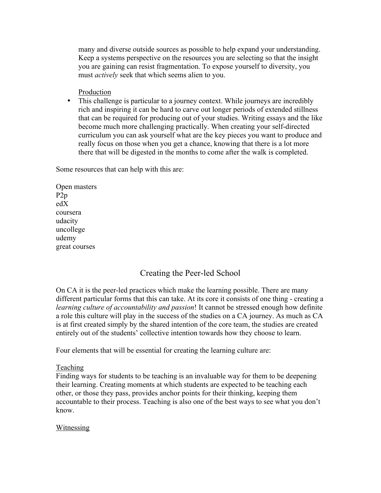many and diverse outside sources as possible to help expand your understanding. Keep a systems perspective on the resources you are selecting so that the insight you are gaining can resist fragmentation. To expose yourself to diversity, you must *actively* seek that which seems alien to you.

#### Production

• This challenge is particular to a journey context. While journeys are incredibly rich and inspiring it can be hard to carve out longer periods of extended stillness that can be required for producing out of your studies. Writing essays and the like become much more challenging practically. When creating your self-directed curriculum you can ask yourself what are the key pieces you want to produce and really focus on those when you get a chance, knowing that there is a lot more there that will be digested in the months to come after the walk is completed.

Some resources that can help with this are:

Open masters P2p edX coursera udacity uncollege udemy great courses

## Creating the Peer-led School

On CA it is the peer-led practices which make the learning possible. There are many different particular forms that this can take. At its core it consists of one thing - creating a *learning culture of accountability and passion*! It cannot be stressed enough how definite a role this culture will play in the success of the studies on a CA journey. As much as CA is at first created simply by the shared intention of the core team, the studies are created entirely out of the students' collective intention towards how they choose to learn.

Four elements that will be essential for creating the learning culture are:

#### Teaching

Finding ways for students to be teaching is an invaluable way for them to be deepening their learning. Creating moments at which students are expected to be teaching each other, or those they pass, provides anchor points for their thinking, keeping them accountable to their process. Teaching is also one of the best ways to see what you don't know.

#### **Witnessing**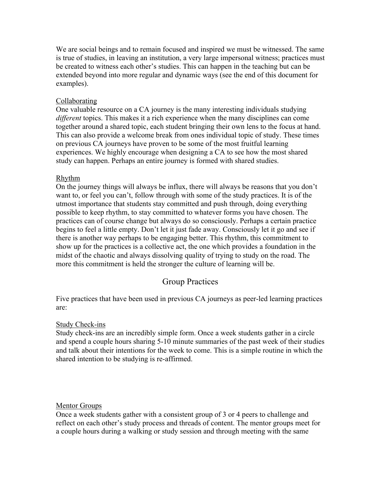We are social beings and to remain focused and inspired we must be witnessed. The same is true of studies, in leaving an institution, a very large impersonal witness; practices must be created to witness each other's studies. This can happen in the teaching but can be extended beyond into more regular and dynamic ways (see the end of this document for examples).

#### Collaborating

One valuable resource on a CA journey is the many interesting individuals studying *different* topics. This makes it a rich experience when the many disciplines can come together around a shared topic, each student bringing their own lens to the focus at hand. This can also provide a welcome break from ones individual topic of study. These times on previous CA journeys have proven to be some of the most fruitful learning experiences. We highly encourage when designing a CA to see how the most shared study can happen. Perhaps an entire journey is formed with shared studies.

#### Rhythm

On the journey things will always be influx, there will always be reasons that you don't want to, or feel you can't, follow through with some of the study practices. It is of the utmost importance that students stay committed and push through, doing everything possible to keep rhythm, to stay committed to whatever forms you have chosen. The practices can of course change but always do so consciously. Perhaps a certain practice begins to feel a little empty. Don't let it just fade away. Consciously let it go and see if there is another way perhaps to be engaging better. This rhythm, this commitment to show up for the practices is a collective act, the one which provides a foundation in the midst of the chaotic and always dissolving quality of trying to study on the road. The more this commitment is held the stronger the culture of learning will be.

## Group Practices

Five practices that have been used in previous CA journeys as peer-led learning practices are:

#### Study Check-ins

Study check-ins are an incredibly simple form. Once a week students gather in a circle and spend a couple hours sharing 5-10 minute summaries of the past week of their studies and talk about their intentions for the week to come. This is a simple routine in which the shared intention to be studying is re-affirmed.

#### Mentor Groups

Once a week students gather with a consistent group of 3 or 4 peers to challenge and reflect on each other's study process and threads of content. The mentor groups meet for a couple hours during a walking or study session and through meeting with the same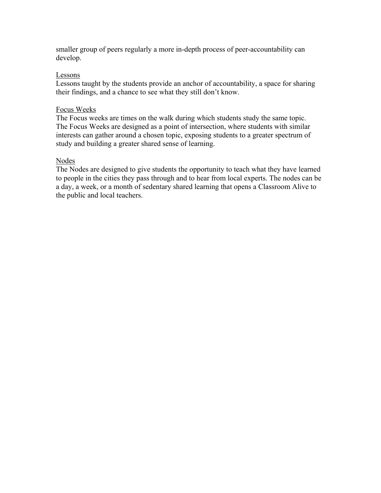smaller group of peers regularly a more in-depth process of peer-accountability can develop.

#### Lessons

Lessons taught by the students provide an anchor of accountability, a space for sharing their findings, and a chance to see what they still don't know.

#### Focus Weeks

The Focus weeks are times on the walk during which students study the same topic. The Focus Weeks are designed as a point of intersection, where students with similar interests can gather around a chosen topic, exposing students to a greater spectrum of study and building a greater shared sense of learning.

#### Nodes

The Nodes are designed to give students the opportunity to teach what they have learned to people in the cities they pass through and to hear from local experts. The nodes can be a day, a week, or a month of sedentary shared learning that opens a Classroom Alive to the public and local teachers.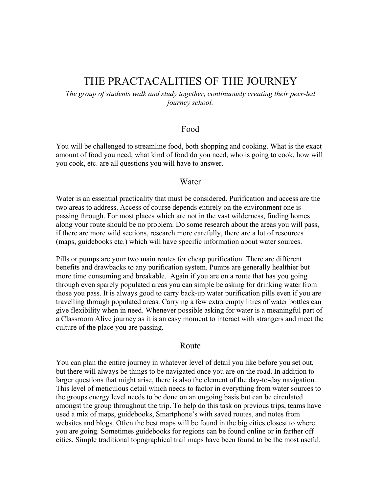## THE PRACTACALITIES OF THE JOURNEY

*The group of students walk and study together, continuously creating their peer-led journey school.*

#### Food

You will be challenged to streamline food, both shopping and cooking. What is the exact amount of food you need, what kind of food do you need, who is going to cook, how will you cook, etc. are all questions you will have to answer.

#### Water

Water is an essential practicality that must be considered. Purification and access are the two areas to address. Access of course depends entirely on the environment one is passing through. For most places which are not in the vast wilderness, finding homes along your route should be no problem. Do some research about the areas you will pass, if there are more wild sections, research more carefully, there are a lot of resources (maps, guidebooks etc.) which will have specific information about water sources.

Pills or pumps are your two main routes for cheap purification. There are different benefits and drawbacks to any purification system. Pumps are generally healthier but more time consuming and breakable. Again if you are on a route that has you going through even sparely populated areas you can simple be asking for drinking water from those you pass. It is always good to carry back-up water purification pills even if you are travelling through populated areas. Carrying a few extra empty litres of water bottles can give flexibility when in need. Whenever possible asking for water is a meaningful part of a Classroom Alive journey as it is an easy moment to interact with strangers and meet the culture of the place you are passing.

#### Route

You can plan the entire journey in whatever level of detail you like before you set out, but there will always be things to be navigated once you are on the road. In addition to larger questions that might arise, there is also the element of the day-to-day navigation. This level of meticulous detail which needs to factor in everything from water sources to the groups energy level needs to be done on an ongoing basis but can be circulated amongst the group throughout the trip. To help do this task on previous trips, teams have used a mix of maps, guidebooks, Smartphone's with saved routes, and notes from websites and blogs. Often the best maps will be found in the big cities closest to where you are going. Sometimes guidebooks for regions can be found online or in farther off cities. Simple traditional topographical trail maps have been found to be the most useful.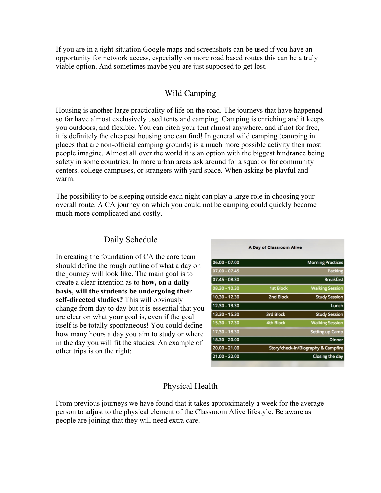If you are in a tight situation Google maps and screenshots can be used if you have an opportunity for network access, especially on more road based routes this can be a truly viable option. And sometimes maybe you are just supposed to get lost.

### Wild Camping

Housing is another large practicality of life on the road. The journeys that have happened so far have almost exclusively used tents and camping. Camping is enriching and it keeps you outdoors, and flexible. You can pitch your tent almost anywhere, and if not for free, it is definitely the cheapest housing one can find! In general wild camping (camping in places that are non-official camping grounds) is a much more possible activity then most people imagine. Almost all over the world it is an option with the biggest hindrance being safety in some countries. In more urban areas ask around for a squat or for community centers, college campuses, or strangers with yard space. When asking be playful and warm.

The possibility to be sleeping outside each night can play a large role in choosing your overall route. A CA journey on which you could not be camping could quickly become much more complicated and costly.

### Daily Schedule

In creating the foundation of CA the core team should define the rough outline of what a day on the journey will look like. The main goal is to create a clear intention as to **how, on a daily basis, will the students be undergoing their self-directed studies?** This will obviously change from day to day but it is essential that you are clear on what your goal is, even if the goal itself is be totally spontaneous! You could define how many hours a day you aim to study or where in the day you will fit the studies. An example of other trips is on the right:

| $06.00 - 07.00$ |                  | <b>Morning Practices</b>            |
|-----------------|------------------|-------------------------------------|
| $07.00 - 07.45$ |                  | Packing                             |
| 07.45 - 08.30   |                  | <b>Breakfast</b>                    |
| $08.30 - 10.30$ | <b>1st Block</b> | <b>Walking Session</b>              |
| 10.30 - 12.30   | 2nd Block        | <b>Study Session</b>                |
| 12.30 - 13.30   |                  | Lunch                               |
| 13.30 - 15.30   | 3rd Block        | <b>Study Session</b>                |
| 15.30 - 17.30   | <b>4th Block</b> | <b>Walking Session</b>              |
| 17.30 - 18.30   |                  | <b>Setting up Camp</b>              |
| 18.30 - 20.00   |                  | <b>Dinner</b>                       |
| $20.00 - 21.00$ |                  | Story/check-in/Biography & Campfire |
| $21.00 - 22.00$ |                  | Closing the day                     |
|                 |                  |                                     |

A Day of Classroom Alive

## Physical Health

From previous journeys we have found that it takes approximately a week for the average person to adjust to the physical element of the Classroom Alive lifestyle. Be aware as people are joining that they will need extra care.